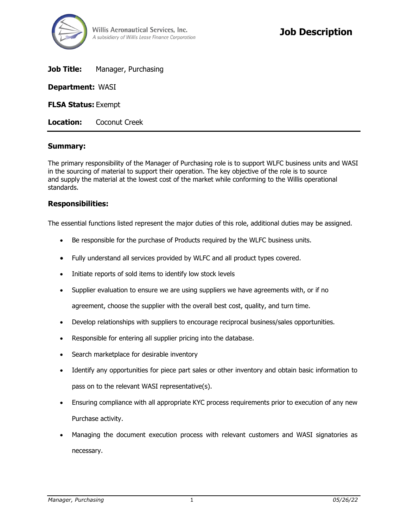

**Job Title:** Manager, Purchasing

**Department:** WASI

**FLSA Status:** Exempt

**Location:** Coconut Creek

### **Summary:**

The primary responsibility of the Manager of Purchasing role is to support WLFC business units and WASI in the sourcing of material to support their operation. The key objective of the role is to source and supply the material at the lowest cost of the market while conforming to the Willis operational standards.

### **Responsibilities:**

The essential functions listed represent the major duties of this role, additional duties may be assigned.

- Be responsible for the purchase of Products required by the WLFC business units.
- Fully understand all services provided by WLFC and all product types covered.
- Initiate reports of sold items to identify low stock levels
- Supplier evaluation to ensure we are using suppliers we have agreements with, or if no

agreement, choose the supplier with the overall best cost, quality, and turn time.

- Develop relationships with suppliers to encourage reciprocal business/sales opportunities.
- Responsible for entering all supplier pricing into the database.
- Search marketplace for desirable inventory
- Identify any opportunities for piece part sales or other inventory and obtain basic information to pass on to the relevant WASI representative(s).
- Ensuring compliance with all appropriate KYC process requirements prior to execution of any new Purchase activity.
- Managing the document execution process with relevant customers and WASI signatories as necessary.